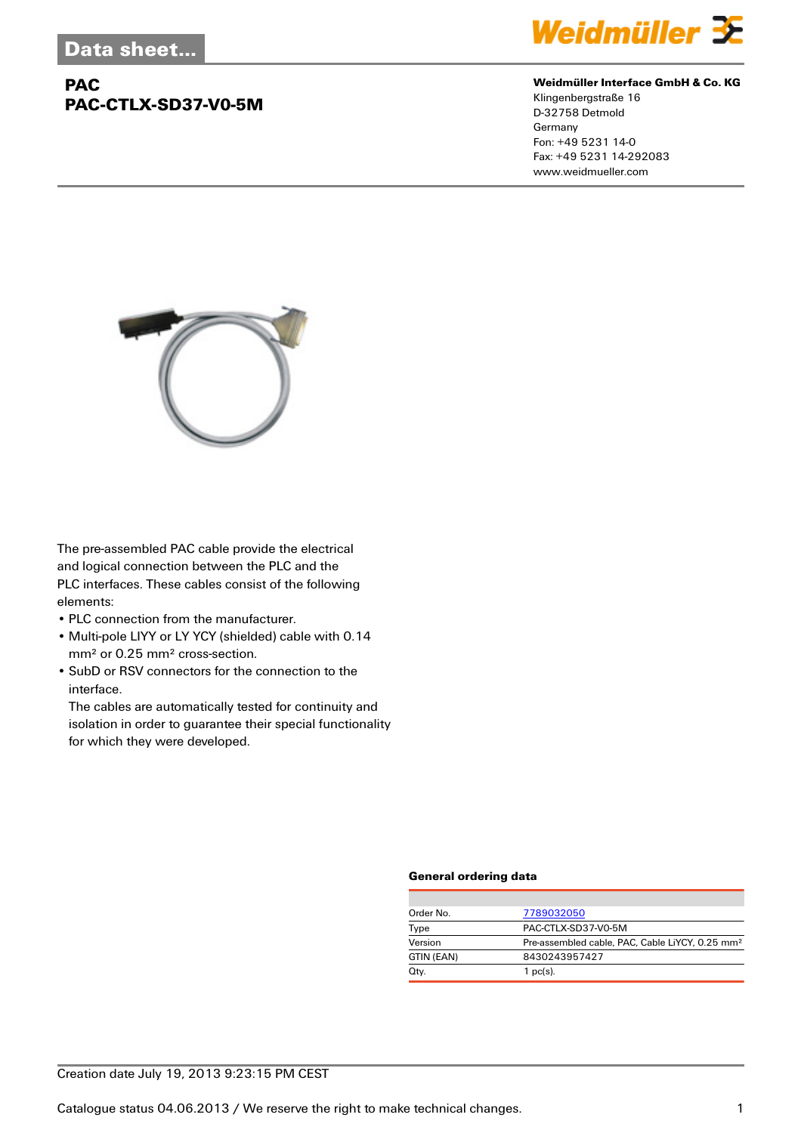## **PAC PAC-CTLX-SD37-V0-5M**



#### **Weidmüller Interface GmbH & Co. KG**

Klingenbergstraße 16 D-32758 Detmold Germany Fon: +49 5231 14-0 Fax: +49 5231 14-292083 www.weidmueller.com



The pre-assembled PAC cable provide the electrical and logical connection between the PLC and the PLC interfaces. These cables consist of the following elements:

- PLC connection from the manufacturer.
- Multi-pole LIYY or LY YCY (shielded) cable with 0.14 mm² or 0.25 mm² cross-section.
- SubD or RSV connectors for the connection to the interface.

The cables are automatically tested for continuity and isolation in order to guarantee their special functionality for which they were developed.

#### **General ordering data**

| Order No.  | 7789032050                                                  |  |  |
|------------|-------------------------------------------------------------|--|--|
| Type       | PAC-CTLX-SD37-V0-5M                                         |  |  |
| Version    | Pre-assembled cable, PAC, Cable LiYCY, 0.25 mm <sup>2</sup> |  |  |
| GTIN (EAN) | 8430243957427                                               |  |  |
| Qty.       | $1$ pc(s).                                                  |  |  |